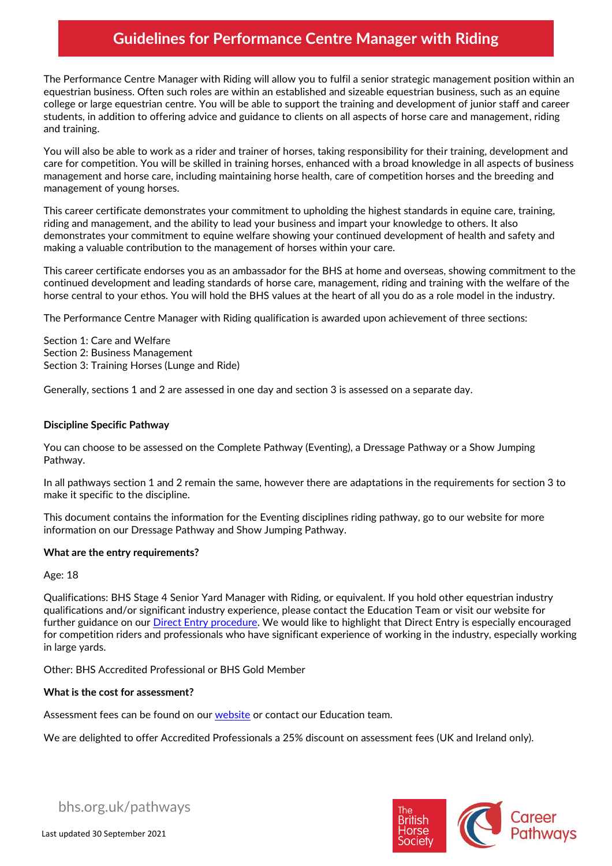The Performance Centre Manager with Riding will allow you to fulfil a senior strategic management position within an equestrian business. Often such roles are within an established and sizeable equestrian business, such as an equine college or large equestrian centre. You will be able to support the training and development of junior staff and career students, in addition to offering advice and guidance to clients on all aspects of horse care and management, riding and training.

You will also be able to work as a rider and trainer of horses, taking responsibility for their training, development and care for competition. You will be skilled in training horses, enhanced with a broad knowledge in all aspects of business management and horse care, including maintaining horse health, care of competition horses and the breeding and management of young horses.

This career certificate demonstrates your commitment to upholding the highest standards in equine care, training, riding and management, and the ability to lead your business and impart your knowledge to others. It also demonstrates your commitment to equine welfare showing your continued development of health and safety and making a valuable contribution to the management of horses within your care.

This career certificate endorses you as an ambassador for the BHS at home and overseas, showing commitment to the continued development and leading standards of horse care, management, riding and training with the welfare of the horse central to your ethos. You will hold the BHS values at the heart of all you do as a role model in the industry.

The Performance Centre Manager with Riding qualification is awarded upon achievement of three sections:

Section 1: Care and Welfare Section 2: Business Management Section 3: Training Horses (Lunge and Ride)

Generally, sections 1 and 2 are assessed in one day and section 3 is assessed on a separate day.

### **Discipline Specific Pathway**

You can choose to be assessed on the Complete Pathway (Eventing), a Dressage Pathway or a Show Jumping Pathway.

In all pathways section 1 and 2 remain the same, however there are adaptations in the requirements for section 3 to make it specific to the discipline.

This document contains the information for the Eventing disciplines riding pathway, go to our website for more information on our Dressage Pathway and Show Jumping Pathway.

### **What are the entry requirements?**

Age: 18

Qualifications: BHS Stage 4 Senior Yard Manager with Riding, or equivalent. If you hold other equestrian industry qualifications and/or significant industry experience, please contact the Education Team or visit our website for further guidance on our [Direct Entry procedure.](https://pathways.bhs.org.uk/resource-hub/forms-and-guidance/direct-entry-guidance/) We would like to highlight that Direct Entry is especially encouraged for competition riders and professionals who have significant experience of working in the industry, especially working in large yards.

Other: BHS Accredited Professional or BHS Gold Member

#### **What is the cost for assessment?**

Assessment fees can be found on our [website](https://pathways.bhs.org.uk/career-pathways/coaching-pathway/performance-coach-in-complete-horsemanship-bhsi/) or contact our Education team.

We are delighted to offer Accredited Professionals a 25% discount on assessment fees (UK and Ireland only).



bhs.org.uk/pathways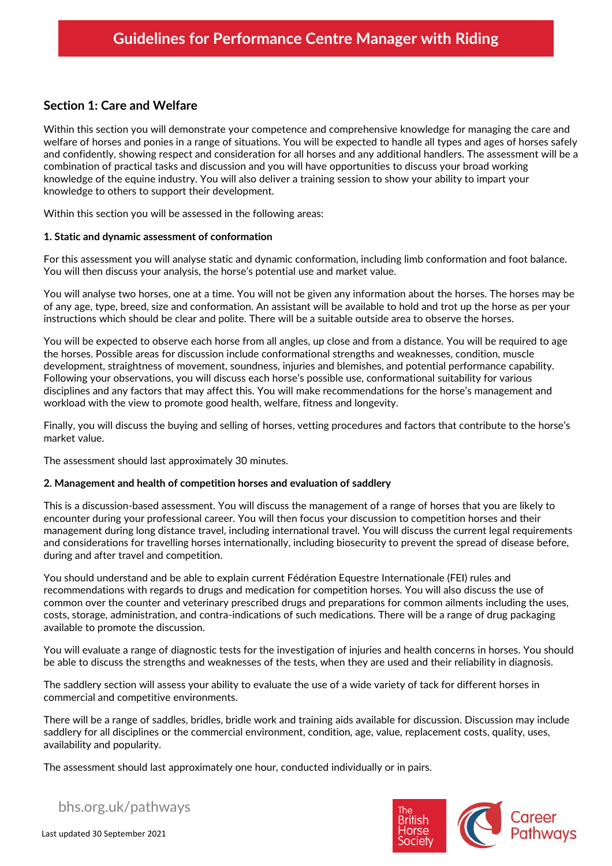## **Section 1: Care and Welfare**

Within this section you will demonstrate your competence and comprehensive knowledge for managing the care and welfare of horses and ponies in a range of situations. You will be expected to handle all types and ages of horses safely and confidently, showing respect and consideration for all horses and any additional handlers. The assessment will be a combination of practical tasks and discussion and you will have opportunities to discuss your broad working knowledge of the equine industry. You will also deliver a training session to show your ability to impart your knowledge to others to support their development.

Within this section you will be assessed in the following areas:

### **1. Static and dynamic assessment of conformation**

For this assessment you will analyse static and dynamic conformation, including limb conformation and foot balance. You will then discuss your analysis, the horse's potential use and market value.

You will analyse two horses, one at a time. You will not be given any information about the horses. The horses may be of any age, type, breed, size and conformation. An assistant will be available to hold and trot up the horse as per your instructions which should be clear and polite. There will be a suitable outside area to observe the horses.

You will be expected to observe each horse from all angles, up close and from a distance. You will be required to age the horses. Possible areas for discussion include conformational strengths and weaknesses, condition, muscle development, straightness of movement, soundness, injuries and blemishes, and potential performance capability. Following your observations, you will discuss each horse's possible use, conformational suitability for various disciplines and any factors that may affect this. You will make recommendations for the horse's management and workload with the view to promote good health, welfare, fitness and longevity.

Finally, you will discuss the buying and selling of horses, vetting procedures and factors that contribute to the horse's market value.

The assessment should last approximately 30 minutes.

### **2. Management and health of competition horses and evaluation of saddlery**

This is a discussion-based assessment. You will discuss the management of a range of horses that you are likely to encounter during your professional career. You will then focus your discussion to competition horses and their management during long distance travel, including international travel. You will discuss the current legal requirements and considerations for travelling horses internationally, including biosecurity to prevent the spread of disease before, during and after travel and competition.

You should understand and be able to explain current Fédération Equestre Internationale (FEI) rules and recommendations with regards to drugs and medication for competition horses. You will also discuss the use of common over the counter and veterinary prescribed drugs and preparations for common ailments including the uses, costs, storage, administration, and contra-indications of such medications. There will be a range of drug packaging available to promote the discussion.

You will evaluate a range of diagnostic tests for the investigation of injuries and health concerns in horses. You should be able to discuss the strengths and weaknesses of the tests, when they are used and their reliability in diagnosis.

The saddlery section will assess your ability to evaluate the use of a wide variety of tack for different horses in commercial and competitive environments.

There will be a range of saddles, bridles, bridle work and training aids available for discussion. Discussion may include saddlery for all disciplines or the commercial environment, condition, age, value, replacement costs, quality, uses, availability and popularity.

The assessment should last approximately one hour, conducted individually or in pairs.

bhs.org.uk/pathways

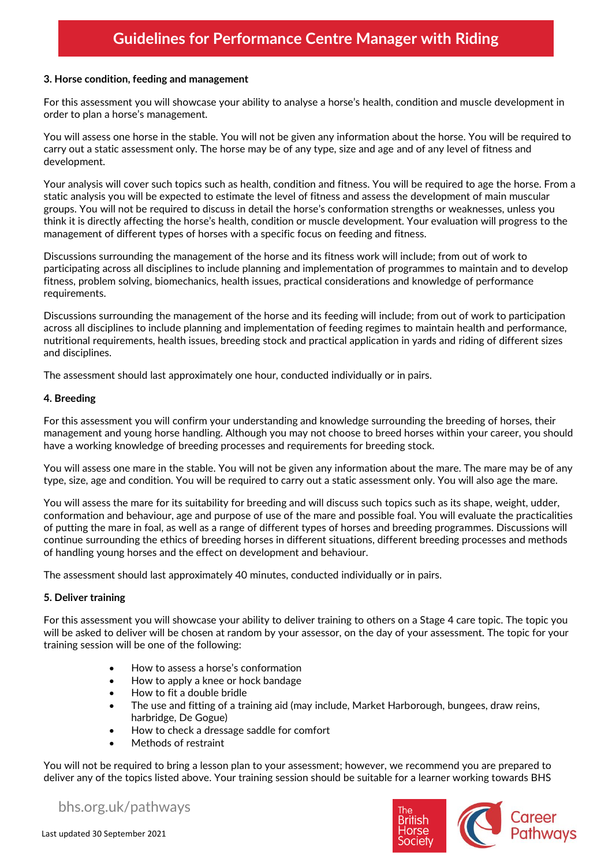### **3. Horse condition, feeding and management**

For this assessment you will showcase your ability to analyse a horse's health, condition and muscle development in order to plan a horse's management.

You will assess one horse in the stable. You will not be given any information about the horse. You will be required to carry out a static assessment only. The horse may be of any type, size and age and of any level of fitness and development.

Your analysis will cover such topics such as health, condition and fitness. You will be required to age the horse. From a static analysis you will be expected to estimate the level of fitness and assess the development of main muscular groups. You will not be required to discuss in detail the horse's conformation strengths or weaknesses, unless you think it is directly affecting the horse's health, condition or muscle development. Your evaluation will progress to the management of different types of horses with a specific focus on feeding and fitness.

Discussions surrounding the management of the horse and its fitness work will include; from out of work to participating across all disciplines to include planning and implementation of programmes to maintain and to develop fitness, problem solving, biomechanics, health issues, practical considerations and knowledge of performance requirements.

Discussions surrounding the management of the horse and its feeding will include; from out of work to participation across all disciplines to include planning and implementation of feeding regimes to maintain health and performance, nutritional requirements, health issues, breeding stock and practical application in yards and riding of different sizes and disciplines.

The assessment should last approximately one hour, conducted individually or in pairs.

### **4. Breeding**

For this assessment you will confirm your understanding and knowledge surrounding the breeding of horses, their management and young horse handling. Although you may not choose to breed horses within your career, you should have a working knowledge of breeding processes and requirements for breeding stock.

You will assess one mare in the stable. You will not be given any information about the mare. The mare may be of any type, size, age and condition. You will be required to carry out a static assessment only. You will also age the mare.

You will assess the mare for its suitability for breeding and will discuss such topics such as its shape, weight, udder, conformation and behaviour, age and purpose of use of the mare and possible foal. You will evaluate the practicalities of putting the mare in foal, as well as a range of different types of horses and breeding programmes. Discussions will continue surrounding the ethics of breeding horses in different situations, different breeding processes and methods of handling young horses and the effect on development and behaviour.

The assessment should last approximately 40 minutes, conducted individually or in pairs.

### **5. Deliver training**

For this assessment you will showcase your ability to deliver training to others on a Stage 4 care topic. The topic you will be asked to deliver will be chosen at random by your assessor, on the day of your assessment. The topic for your training session will be one of the following:

- How to assess a horse's conformation
- How to apply a knee or hock bandage
- How to fit a double bridle
- The use and fitting of a training aid (may include, Market Harborough, bungees, draw reins, harbridge, De Gogue)
- How to check a dressage saddle for comfort
- Methods of restraint

You will not be required to bring a lesson plan to your assessment; however, we recommend you are prepared to deliver any of the topics listed above. Your training session should be suitable for a learner working towards BHS

bhs.org.uk/pathways

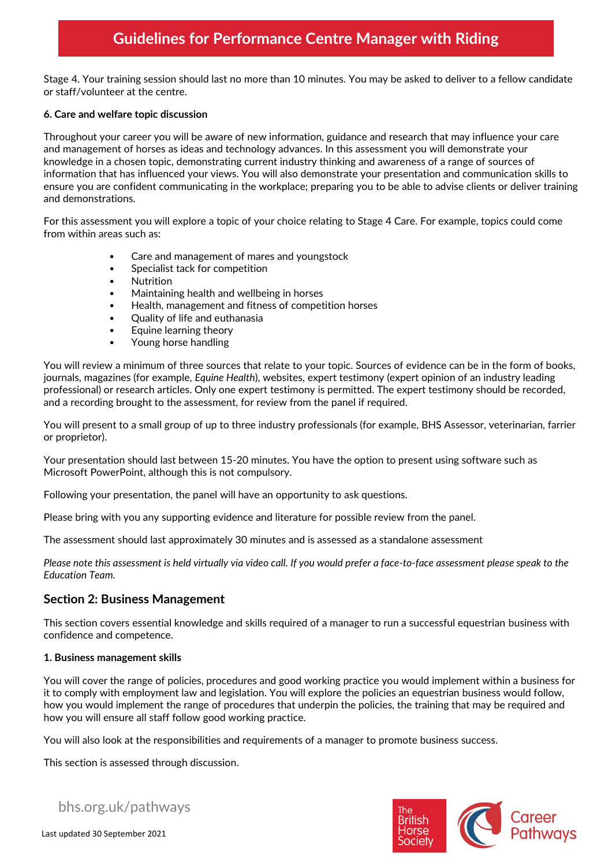Stage 4. Your training session should last no more than 10 minutes. You may be asked to deliver to a fellow candidate or staff/volunteer at the centre.

### **6. Care and welfare topic discussion**

Throughout your career you will be aware of new information, guidance and research that may influence your care and management of horses as ideas and technology advances. In this assessment you will demonstrate your knowledge in a chosen topic, demonstrating current industry thinking and awareness of a range of sources of information that has influenced your views. You will also demonstrate your presentation and communication skills to ensure you are confident communicating in the workplace; preparing you to be able to advise clients or deliver training and demonstrations.

For this assessment you will explore a topic of your choice relating to Stage 4 Care. For example, topics could come from within areas such as:

- Care and management of mares and youngstock
- Specialist tack for competition
- Nutrition
- Maintaining health and wellbeing in horses
- Health, management and fitness of competition horses
- Quality of life and euthanasia
- Equine learning theory
- Young horse handling

You will review a minimum of three sources that relate to your topic. Sources of evidence can be in the form of books, journals, magazines (for example, *Equine Health*), websites, expert testimony (expert opinion of an industry leading professional) or research articles. Only one expert testimony is permitted. The expert testimony should be recorded, and a recording brought to the assessment, for review from the panel if required.

You will present to a small group of up to three industry professionals (for example, BHS Assessor, veterinarian, farrier or proprietor).

Your presentation should last between 15-20 minutes. You have the option to present using software such as Microsoft PowerPoint, although this is not compulsory.

Following your presentation, the panel will have an opportunity to ask questions.

Please bring with you any supporting evidence and literature for possible review from the panel.

The assessment should last approximately 30 minutes and is assessed as a standalone assessment

*Please note this assessment is held virtually via video call. If you would prefer a face-to-face assessment please speak to the Education Team.*

## **Section 2: Business Management**

This section covers essential knowledge and skills required of a manager to run a successful equestrian business with confidence and competence.

### **1. Business management skills**

You will cover the range of policies, procedures and good working practice you would implement within a business for it to comply with employment law and legislation. You will explore the policies an equestrian business would follow, how you would implement the range of procedures that underpin the policies, the training that may be required and how you will ensure all staff follow good working practice.

You will also look at the responsibilities and requirements of a manager to promote business success.

This section is assessed through discussion.

bhs.org.uk/pathways

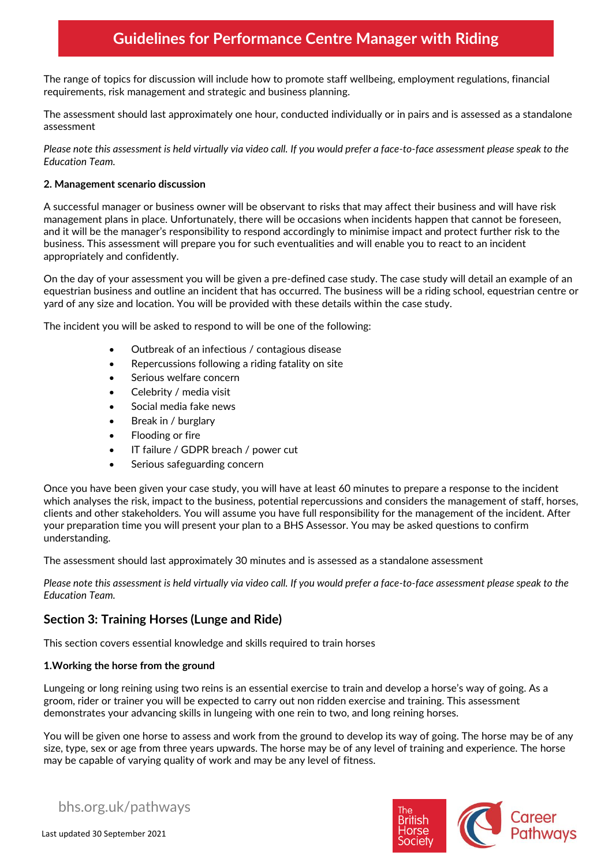The range of topics for discussion will include how to promote staff wellbeing, employment regulations, financial requirements, risk management and strategic and business planning.

The assessment should last approximately one hour, conducted individually or in pairs and is assessed as a standalone assessment

*Please note this assessment is held virtually via video call. If you would prefer a face-to-face assessment please speak to the Education Team.*

### **2. Management scenario discussion**

A successful manager or business owner will be observant to risks that may affect their business and will have risk management plans in place. Unfortunately, there will be occasions when incidents happen that cannot be foreseen, and it will be the manager's responsibility to respond accordingly to minimise impact and protect further risk to the business. This assessment will prepare you for such eventualities and will enable you to react to an incident appropriately and confidently.

On the day of your assessment you will be given a pre-defined case study. The case study will detail an example of an equestrian business and outline an incident that has occurred. The business will be a riding school, equestrian centre or yard of any size and location. You will be provided with these details within the case study.

The incident you will be asked to respond to will be one of the following:

- Outbreak of an infectious / contagious disease
- Repercussions following a riding fatality on site
- Serious welfare concern
- Celebrity / media visit
- Social media fake news
- Break in / burglary
- Flooding or fire
- IT failure / GDPR breach / power cut
- Serious safeguarding concern

Once you have been given your case study, you will have at least 60 minutes to prepare a response to the incident which analyses the risk, impact to the business, potential repercussions and considers the management of staff, horses, clients and other stakeholders. You will assume you have full responsibility for the management of the incident. After your preparation time you will present your plan to a BHS Assessor. You may be asked questions to confirm understanding.

The assessment should last approximately 30 minutes and is assessed as a standalone assessment

*Please note this assessment is held virtually via video call. If you would prefer a face-to-face assessment please speak to the Education Team.*

## **Section 3: Training Horses (Lunge and Ride)**

This section covers essential knowledge and skills required to train horses

### **1.Working the horse from the ground**

Lungeing or long reining using two reins is an essential exercise to train and develop a horse's way of going. As a groom, rider or trainer you will be expected to carry out non ridden exercise and training. This assessment demonstrates your advancing skills in lungeing with one rein to two, and long reining horses.

You will be given one horse to assess and work from the ground to develop its way of going. The horse may be of any size, type, sex or age from three years upwards. The horse may be of any level of training and experience. The horse may be capable of varying quality of work and may be any level of fitness.



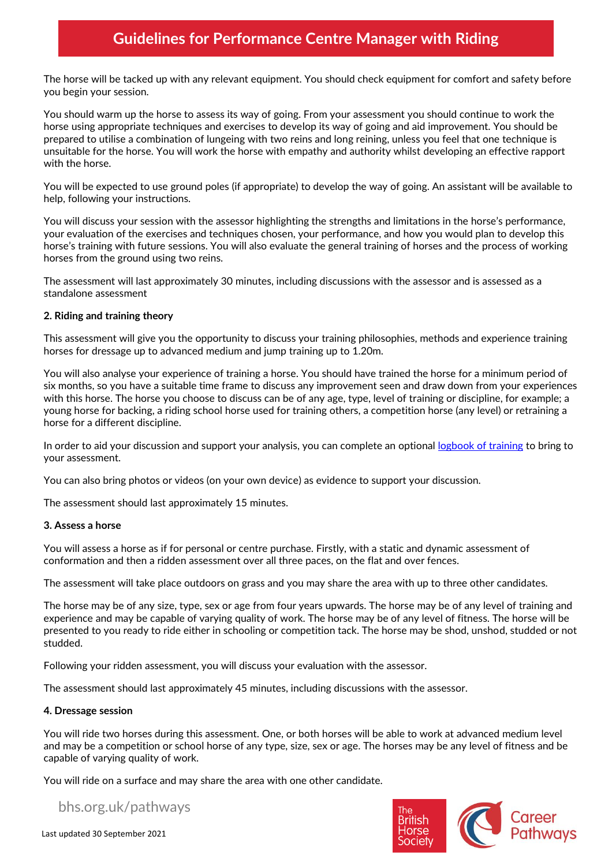The horse will be tacked up with any relevant equipment. You should check equipment for comfort and safety before you begin your session.

You should warm up the horse to assess its way of going. From your assessment you should continue to work the horse using appropriate techniques and exercises to develop its way of going and aid improvement. You should be prepared to utilise a combination of lungeing with two reins and long reining, unless you feel that one technique is unsuitable for the horse. You will work the horse with empathy and authority whilst developing an effective rapport with the horse.

You will be expected to use ground poles (if appropriate) to develop the way of going. An assistant will be available to help, following your instructions.

You will discuss your session with the assessor highlighting the strengths and limitations in the horse's performance, your evaluation of the exercises and techniques chosen, your performance, and how you would plan to develop this horse's training with future sessions. You will also evaluate the general training of horses and the process of working horses from the ground using two reins.

The assessment will last approximately 30 minutes, including discussions with the assessor and is assessed as a standalone assessment

### **2. Riding and training theory**

This assessment will give you the opportunity to discuss your training philosophies, methods and experience training horses for dressage up to advanced medium and jump training up to 1.20m.

You will also analyse your experience of training a horse. You should have trained the horse for a minimum period of six months, so you have a suitable time frame to discuss any improvement seen and draw down from your experiences with this horse. The horse you choose to discuss can be of any age, type, level of training or discipline, for example; a young horse for backing, a riding school horse used for training others, a competition horse (any level) or retraining a horse for a different discipline.

In order to aid your discussion and support your analysis, you can complete an optional [logbook of training](https://pathways.bhs.org.uk/career-pathways/coaching-pathway/performance-coach-in-complete-horsemanship-bhsi/) to bring to your assessment.

You can also bring photos or videos (on your own device) as evidence to support your discussion.

The assessment should last approximately 15 minutes.

#### **3. Assess a horse**

You will assess a horse as if for personal or centre purchase. Firstly, with a static and dynamic assessment of conformation and then a ridden assessment over all three paces, on the flat and over fences.

The assessment will take place outdoors on grass and you may share the area with up to three other candidates.

The horse may be of any size, type, sex or age from four years upwards. The horse may be of any level of training and experience and may be capable of varying quality of work. The horse may be of any level of fitness. The horse will be presented to you ready to ride either in schooling or competition tack. The horse may be shod, unshod, studded or not studded.

Following your ridden assessment, you will discuss your evaluation with the assessor.

The assessment should last approximately 45 minutes, including discussions with the assessor.

### **4. Dressage session**

You will ride two horses during this assessment. One, or both horses will be able to work at advanced medium level and may be a competition or school horse of any type, size, sex or age. The horses may be any level of fitness and be capable of varying quality of work.

You will ride on a surface and may share the area with one other candidate.

bhs.org.uk/pathways

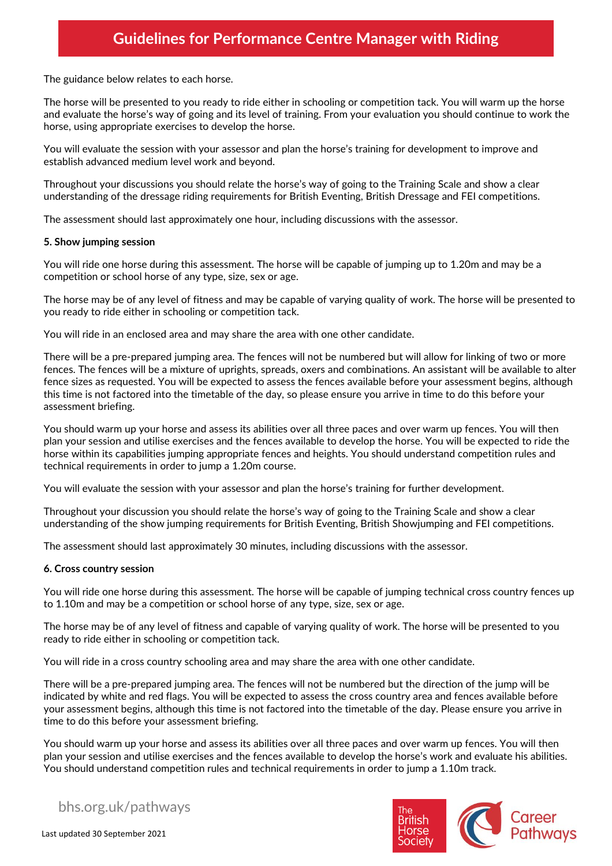The guidance below relates to each horse.

The horse will be presented to you ready to ride either in schooling or competition tack. You will warm up the horse and evaluate the horse's way of going and its level of training. From your evaluation you should continue to work the horse, using appropriate exercises to develop the horse.

You will evaluate the session with your assessor and plan the horse's training for development to improve and establish advanced medium level work and beyond.

Throughout your discussions you should relate the horse's way of going to the Training Scale and show a clear understanding of the dressage riding requirements for British Eventing, British Dressage and FEI competitions.

The assessment should last approximately one hour, including discussions with the assessor.

### **5. Show jumping session**

You will ride one horse during this assessment. The horse will be capable of jumping up to 1.20m and may be a competition or school horse of any type, size, sex or age.

The horse may be of any level of fitness and may be capable of varying quality of work. The horse will be presented to you ready to ride either in schooling or competition tack.

You will ride in an enclosed area and may share the area with one other candidate.

There will be a pre-prepared jumping area. The fences will not be numbered but will allow for linking of two or more fences. The fences will be a mixture of uprights, spreads, oxers and combinations. An assistant will be available to alter fence sizes as requested. You will be expected to assess the fences available before your assessment begins, although this time is not factored into the timetable of the day, so please ensure you arrive in time to do this before your assessment briefing.

You should warm up your horse and assess its abilities over all three paces and over warm up fences. You will then plan your session and utilise exercises and the fences available to develop the horse. You will be expected to ride the horse within its capabilities jumping appropriate fences and heights. You should understand competition rules and technical requirements in order to jump a 1.20m course.

You will evaluate the session with your assessor and plan the horse's training for further development.

Throughout your discussion you should relate the horse's way of going to the Training Scale and show a clear understanding of the show jumping requirements for British Eventing, British Showjumping and FEI competitions.

The assessment should last approximately 30 minutes, including discussions with the assessor.

#### **6. Cross country session**

You will ride one horse during this assessment. The horse will be capable of jumping technical cross country fences up to 1.10m and may be a competition or school horse of any type, size, sex or age.

The horse may be of any level of fitness and capable of varying quality of work. The horse will be presented to you ready to ride either in schooling or competition tack.

You will ride in a cross country schooling area and may share the area with one other candidate.

There will be a pre-prepared jumping area. The fences will not be numbered but the direction of the jump will be indicated by white and red flags. You will be expected to assess the cross country area and fences available before your assessment begins, although this time is not factored into the timetable of the day. Please ensure you arrive in time to do this before your assessment briefing.

You should warm up your horse and assess its abilities over all three paces and over warm up fences. You will then plan your session and utilise exercises and the fences available to develop the horse's work and evaluate his abilities. You should understand competition rules and technical requirements in order to jump a 1.10m track.